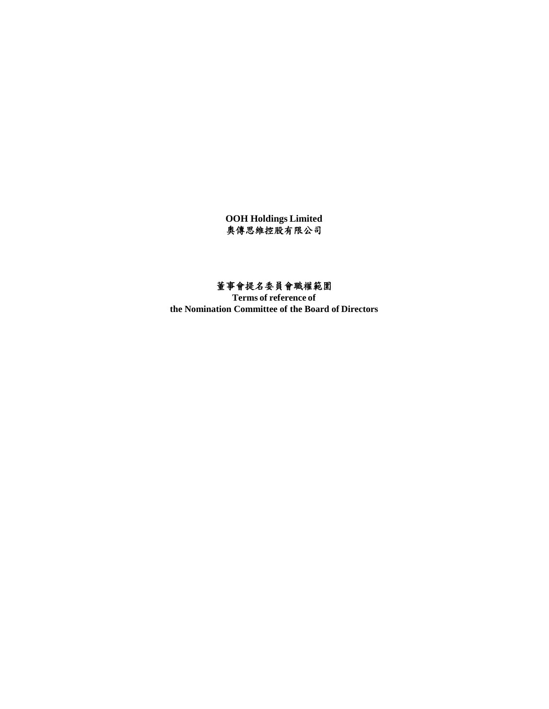**OOH Holdings Limited** 934444444554444544454445

# 董事會提名委員會職權範圍

**Terms of reference of the Nomination Committee of the Board of Directors**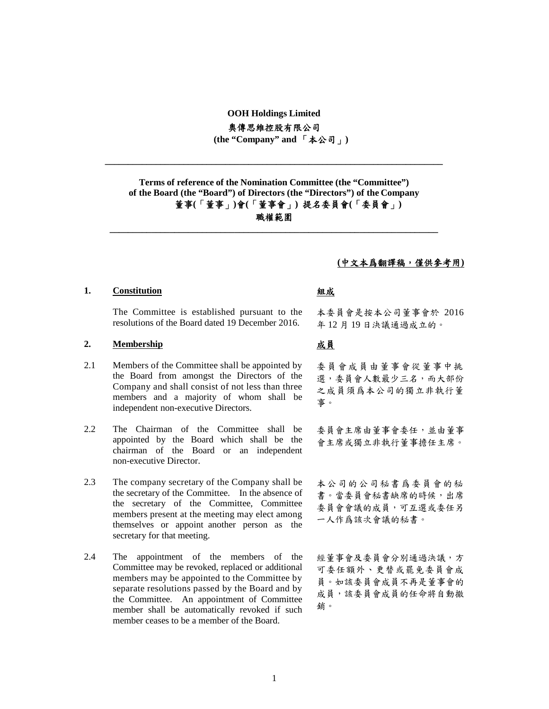## **OOH Holdings Limited** 奧傳思維控股有限公司 **(the "Company" and** 「本公司」**)**

**\_\_\_\_\_\_\_\_\_\_\_\_\_\_\_\_\_\_\_\_\_\_\_\_\_\_\_\_\_\_\_\_\_\_\_\_\_\_\_\_\_\_\_\_\_\_\_\_\_\_\_\_\_\_\_\_\_\_\_\_\_\_\_\_\_\_\_\_\_\_\_\_\_**

**\_\_\_\_\_\_\_\_\_\_\_\_\_\_\_\_\_\_\_\_\_\_\_\_\_\_\_\_\_\_\_\_\_\_\_\_\_\_\_\_\_\_\_\_\_\_\_\_\_\_\_\_\_\_\_\_\_\_\_\_\_\_\_\_\_\_\_\_\_\_\_**

**Terms of reference of the Nomination Committee (the "Committee") of the Board (the "Board") of Directors (the "Directors") of the Company** 董事**(**「董事」**)**會**(**「董事會」**)** 提名委員會**(**「委員會」**)** 職權範圍

## **(**中文本爲翻譯稿,僅供參考用**)**

## **1. Constitution** 組成

The Committee is established pursuant to the resolutions of the Board dated 19 December 2016.

## **2. Membership** 成員

- 2.1 Members of the Committee shall be appointed by the Board from amongst the Directors of the Company and shall consist of not less than three members and a majority of whom shall be independent non-executive Directors.
- 2.2 The Chairman of the Committee shall be appointed by the Board which shall be the chairman of the Board or an independent non-executive Director.
- 2.3 The company secretary of the Company shall be the secretary of the Committee. In the absence of the secretary of the Committee, Committee members present at the meeting may elect among themselves or appoint another person as the secretary for that meeting.
- 2.4 The appointment of the members of the Committee may be revoked, replaced or additional members may be appointed to the Committee by separate resolutions passed by the Board and by the Committee. An appointment of Committee member shall be automatically revoked if such member ceases to be a member of the Board.

本委員會是按本公司董事會於 2016 年 12 月 19 日決議通過成立的。

委員會成員由董事會從董事中挑 選,委員會人數最少三名,而大部份 之成員須爲本公司的獨立非執行董 事。

委員會主席由董事會委任,並由董事 會主席或獨立非執行董事擔任主席。

本公司的公司秘書爲委員會的秘 書。當委員會秘書缺席的時候,出席 委員會會議的成員,可互選或委任另 一人作爲該次會議的秘書。

經董事會及委員會分別通過決議,方 可委任額外、更替或罷免委員會成 員。如該委員會成員不再是董事會的 成員,該委員會成員的任命將自動撤 銷。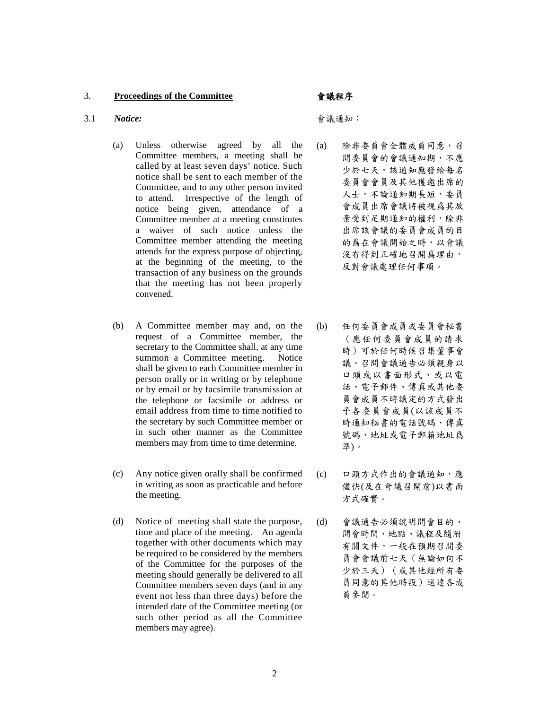## 3. **Proceedings of the Committee** 會議程序

### 3.1 *Notice:* 會議通知:

- (a) Unless otherwise agreed by all the Committee members, a meeting shall be called by at least seven days' notice. Such notice shall be sent to each member of the Committee, and to any other person invited to attend. Irrespective of the length of notice being given, attendance of a Committee member at a meeting constitutes a waiver of such notice unless the Committee member attending the meeting attends for the express purpose of objecting, at the beginning of the meeting, to the transaction of any business on the grounds that the meeting has not been properly convened.
- (b) A Committee member may and, on the request of a Committee member, the secretary to the Committee shall, at any time summon a Committee meeting. Notice shall be given to each Committee member in person orally or in writing or by telephone or by email or by facsimile transmission at the telephone or facsimile or address or email address from time to time notified to the secretary by such Committee member or in such other manner as the Committee members may from time to time determine.
- (c) Any notice given orally shall be confirmed in writing as soon as practicable and before the meeting.
- (d) Notice of meeting shall state the purpose, time and place of the meeting. An agenda together with other documents which may be required to be considered by the members of the Committee for the purposes of the meeting should generally be delivered to all Committee members seven days (and in any event not less than three days) before the intended date of the Committee meeting (or such other period as all the Committee members may agree).

- 除非委員會全體成員同意,召 開委員會的會議通知期,不應 少於七天。該通知應發給每名 委員會會員及其他獲邀出席的 人士。不論通知期長短,委員 會成員出席會議將被視爲其放 棄受到足期通知的權利,除非 出席該會議的委員會成員的目 的爲在會議開始之時,以會議 沒有得到正確地召開爲理由, 反對會議處理任何事項。
- (b) 任何委員會成員或委員會秘書 (應任何委員會成員的請求 時)可於任何時候召集董事會 議。召開會議通告必須親身以 口頭或以書面形式、或以電 話、電子郵件、傳真或其他委 員會成員不時議定的方式發出 予各委員會成員(以該成員不 時通知秘書的電話號碼、傳真 號碼、地址或電子郵箱地址爲 準)。
	- 口頭方式作出的會議通知,應 儘快(及在會議召開前)以書面 方式確實。
- 會議通告必須說明開會目的、 開會時間、地點、議程及隨附 有關文件,一般在預期召開委 員會會議前七天(無論如何不 少於三天)(或其他經所有委 員同意的其他時段)送達各成 員參閱。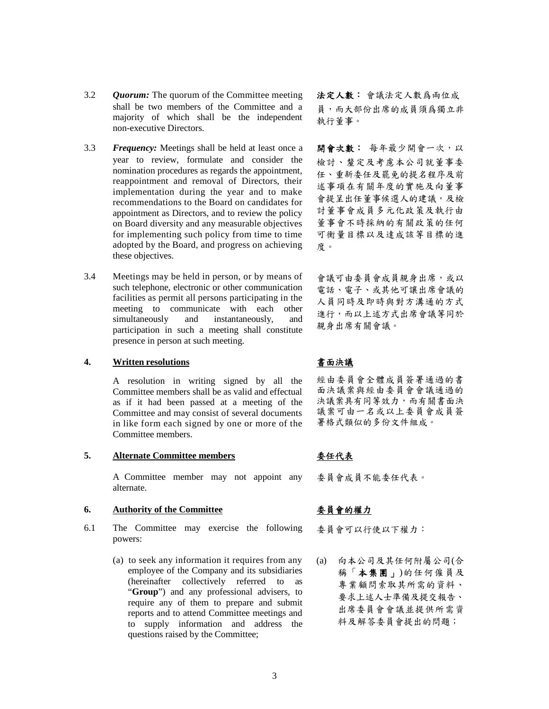- 3.2 *Quorum:* The quorum of theCommittee meeting 法定人數: 會議法定人數爲兩位成 shall be two members of the Committee and a majority of which shall be the independent non-executive Directors.
- 3.3 Frequency: Meetings shall be held at least once a 開會次數: 每年最少開會一次,以 year to review, formulate and consider the nomination procedures as regards the appointment, reappointment and removal of Directors, their implementation during the year and to make recommendations to the Board on candidates for appointment as Directors, and to review the policy on Board diversity and any measurable objectives for implementing such policy from time to time adopted by the Board, and progress on achieving these objectives.
- 3.4 Meetings may be held in person, or by means of such telephone, electronic or other communication facilities as permit all persons participating in the meeting to communicate with each other simultaneously and instantaneously, and participation in such a meeting shall constitute presence in person at such meeting.

## **4. Written resolutions** 書面決議

A resolution in writing signed by all the Committee members shall be as valid and effectual as if it had been passed at a meeting of the Committee and may consist of several documents in like form each signed by one or more of the Committee members.

## **5. Alternate Committee members** 委任代表

A Committee member may not appoint any alternate.

## **6. Authority of the Committee** 委員會的權力

- 6.1 The Committee may exercise the following powers:
	- (a) to seek any information it requires from any employee of the Company and its subsidiaries (hereinafter collectively referred to as "**Group**") and any professional advisers, to require any of them to prepare and submit reports and to attend Committee meetings and to supply information and address the questions raised by the Committee;

員,而大部份出席的成員須爲獨立非 執行董事。

檢討、釐定及考慮本公司就董事委 任、重新委任及罷免的提名程序及前 述事項在有關年度的實施及向董事 會提呈出任董事候選人的建議,及檢 討董事會成員多元化政策及執行由 董事會不時採納的有關政策的任何 可衡量目標以及達成該等目標的進 度。

會議可由委員會成員親身出席,或以 電話、電子、或其他可讓出席會議的 人員同時及即時與對方溝通的方式 進行,而以上述方式出席會議等同於 親身出席有關會議。

經由委員會全體成員簽署通過的書 面決議案與經由委員會會議通過的 決議案具有同等效力,而有關書面決 議案可由一名或以上委員會成員簽 署格式類似的多份文件組成。

委員會成員不能委任代表。

委員會可以行使以下權力:

(a) 向本公司及其任何附屬公司(合 稱「本集團」)的任何僱員及 專業顧問索取其所需的資料、 要求上述人士準備及提交報告、 出席委員會會議並提供所需資 料及解答委員會提出的問題;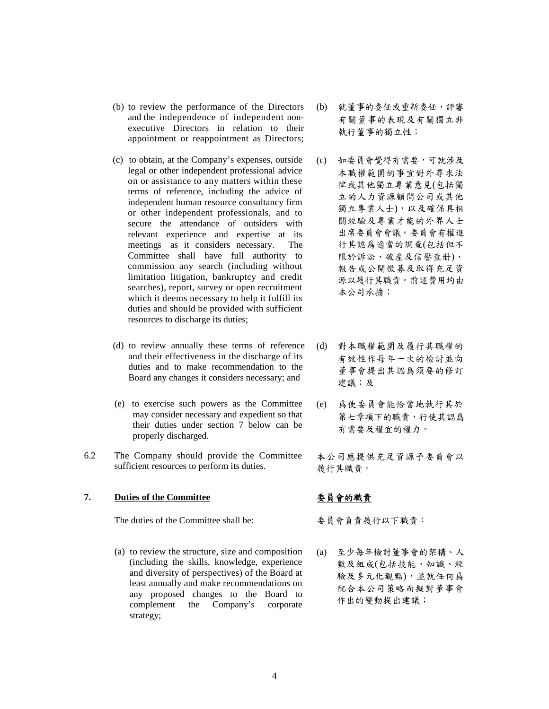- (b) to review the performance of the Directors and the independence of independent non executive Directors in relation to their appointment or reappointment as Directors;
- (c) to obtain, at the Company's expenses, outside legal or other independent professional advice on or assistance to any matters within these terms of reference, including the advice of independent human resource consultancy firm or other independent professionals, and to secure the attendance of outsiders with relevant experience and expertise at its meetings as it considers necessary. The Committee shall have full authority to commission any search (including without limitation litigation, bankruptcy and credit searches), report, survey or open recruitment which it deems necessary to help it fulfill its duties and should be provided with sufficient resources to discharge its duties;
- (d) to review annually these terms of reference (d) and their effectiveness in the discharge of its duties and to make recommendation to the Board any changes it considers necessary; and
- (e) to exercise such powers as the Committee may consider necessary and expedient so that their duties under section 7 below can be properly discharged.
- 6.2 The Company should provide the Committee sufficient resources to perform its duties.

## **7. Duties of the Committee** 委員會的職責

The duties of the Committee shall be: 委員會負責履行以下職責:

(a) to review the structure, size and composition (including the skills, knowledge, experience and diversity of perspectives) of the Board at least annually and make recommendations on any proposed changes to the Board to complement the Company's corporate strategy;

- 就董事的委任或重新委任,評審 有關董事的表現及有關獨立非 執行董事的獨立性;
- (c) 如委員會覺得有需要,可就涉及 本職權範圍的事宜對外尋求法 律或其他獨立專業意見(包括獨 立的人力資源顧問公司或其他 獨立專業人士),以及確保具相 關經驗及專業才能的外界人士 出席委員會會議。委員會有權進 行其認爲適當的調查(包括但不 限於訴訟、破産及信譽查册)、 報告或公開徵募及取得充足資 源以履行其職責。前述費用均由 本公司承擔;
- 對本職權範圍及履行其職權的 有效性作每年一次的檢討並向 董事會提出其認爲須要的修訂 建議;及
- 爲使委員會能恰當地執行其於 第七章項下的職責,行使其認爲 有需要及權宜的權力。

本公司應提供充足資源予委員會以 履行其職責。

(a) 至少每年檢討董事會的架構、人 數及組成(包括技能、知識、經 驗及多元化觀點),並就任何爲 配合本公司策略而擬對董事會 作出的變動提出建議;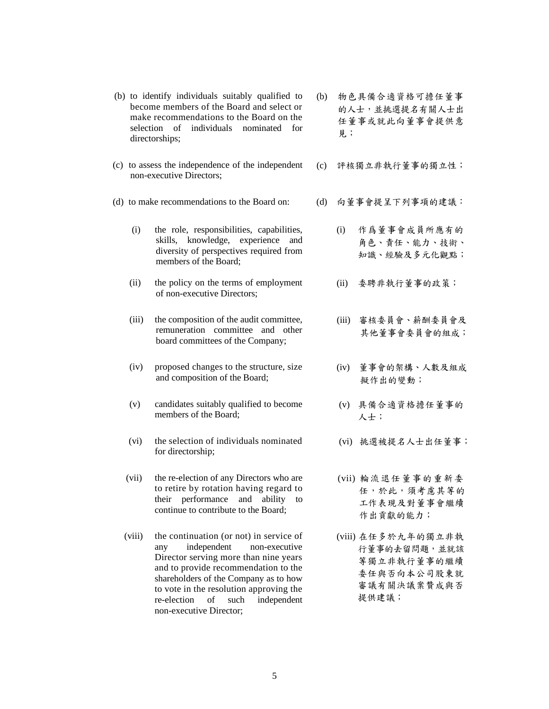- remuneration committee and other board committees of the Company;
- (iv) proposed changes to the structure, size and composition of the Board;

become members of the Board and select or make recommendations to the Board on the selection of individuals nominated for

(c) to assess the independence of the independent

(i) the role, responsibilities, capabilities, skills, knowledge, experience and diversity of perspectives required from

(ii) the policy on the terms of employment of non-executive Directors;

(iii) the composition of the audit committee,

members of the Board;

directorships;

non-executive Directors;

- (v) candidates suitably qualified to become members of the Board;
- (vi) the selection of individuals nominated for directorship;
- (vii) the re-election of any Directors who are to retire by rotation having regard to their performance and ability to continue to contribute to the Board;
- (viii) the continuation (or not) in service of any independent non-executive Director serving more than nine years and to provide recommendation to the shareholders of the Company as to how to vote in the resolution approving the re-election of such independent non-executive Director;
- (b) to identify individuals suitably qualified to (b) 物色具備合適資格可擔任董事 的人士,並挑選提名有關人士出 任董事或就此向董事會提供意 見;
	- (c) 評核獨立非執行董事的獨立性;
- (d) to make recommendations to the Board on: (d) 向董事會提呈下列事項的建議:
	- (i) 作爲董事會成員所應有的 角色、責任、能力、技術、 知識、經驗及多元化觀點;
	- (ii) 委聘非執行董事的政策;
	- (iii) 審核委員會、薪酬委員會及 其他董事會委員會的組成;
	- (iv) 董事會的架構、人數及組成 擬作出的變動;
	- (v) 具備合適資格擔任董事的 人士;
	- (vi) 挑選被提名人士出任董事;
	- (vii) 輪流退任董事的重新委 任,於此,須考慮其等的 工作表現及對董事會繼續 作出貢獻的能力;
	- (viii) 在任多於九年的獨立非執 行董事的去留問題,並就該 等獨立非執行董事的繼續 委任與否向本公司股東就 審議有關決議案贊成與否 提供建議;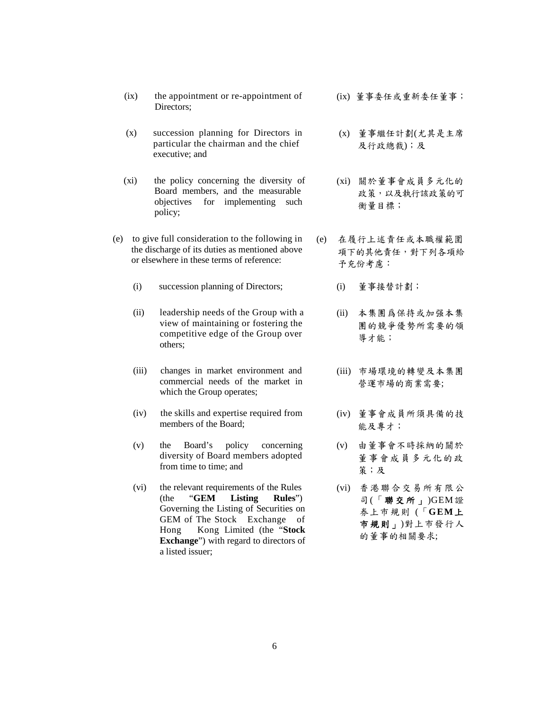- (ix) the appointment or re-appointment of Directors;
- (x) succession planning for Directors in particular the chairman and the chief executive; and
- (xi) the policy concerning the diversity of Board members, and the measurable objectives for implementing such policy;
- (e) to give full consideration to the following in the discharge of its duties as mentioned above or elsewhere in these terms of reference:
	- (i) succession planning of Directors; (i) 董事接替計劃;
	- (ii) leadership needs of the Group with a view of maintaining or fostering the competitive edge of the Group over others;
	- (iii) changes in market environment and commercial needs of the market in which the Group operates;
	- (iv) the skills and expertise required from members of the Board;
	- (v) the Board's policy concerning diversity of Board members adopted from time to time; and
	- (vi) the relevant requirements of the Rules<br>(the "GEM Listing Rules") Listing Rules") Governing the Listing of Securities on GEM of The Stock Exchange of Hong Kong Limited (the "**Stock Exchange**") with regard to directors of a listed issuer;
- (ix) 董事委任或重新委任董事;
- (x) 董事繼任計劃(尤其是主席 及行政總裁);及
- (xi) 關於董事會成員多元化的 政策,以及執行該政策的可 衡量目標;
- 在履行上述責任或本職權範圍 項下的其他責任,對下列各項給 予充份考慮:
	-
	- (ii) 本集團爲保持或加强本集 團的競爭優勢所需要的領 導才能;
	- (iii) 市場環境的轉變及本集團 營運市場的商業需要;
	- (iv) 董事會成員所須具備的技 能及專才;
	- (v) 由董事會不時採納的關於 董事會成員多元化的政 策;及
	- (vi) 香港聯合交易所有限公 司 $($ 「聯交所」) GEM證 券上巿規則 (「**GEM**上 市規則」)對上市發行人 的董事的相關要求;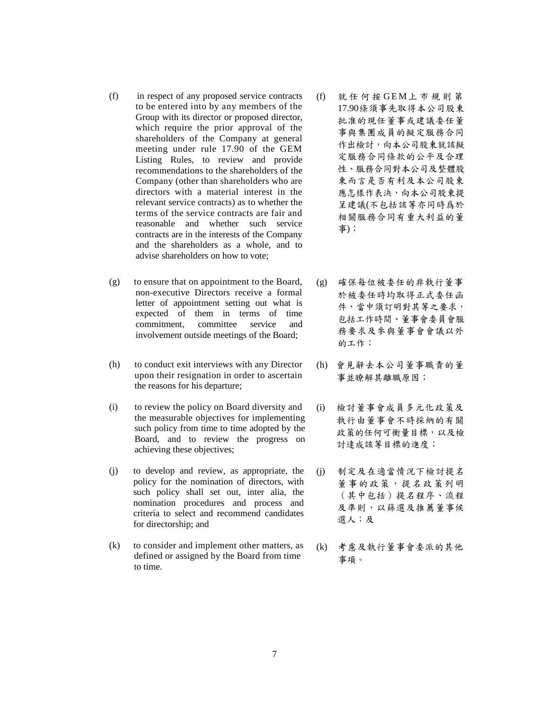- (f) in respect of any proposed service contracts to be entered into by any members of the Group with its director or proposed director, which require the prior approval of the shareholders of the Company at general meeting under rule 17.90 of the GEM Listing Rules, to review and provide recommendations to the shareholders of the Company (other than shareholders who are directors with a material interest in the relevant service contracts) as to whether the terms of the service contracts are fair and reasonable and whether such service contracts are in the interests of the Company and the shareholders as a whole, and to advise shareholders on how to vote;
- (g) to ensure that on appointment to the Board, non-executive Directors receive a formal letter of appointment setting out what is expected of them in terms of time commitment, committee service and involvement outside meetings of the Board;
- (h) to conduct exit interviews with any Director upon their resignation in order to ascertain the reasons for his departure;
- (i) to review the policy on Board diversity and the measurable objectives for implementing such policy from time to time adopted by the Board, and to review the progress on achieving these objectives;
- (j) to develop and review, as appropriate, the policy for the nomination of directors, with such policy shall set out, inter alia, the nomination procedures and process and criteria to select and recommend candidates for directorship; and
- (k) to consider and implement other matters, as defined or assigned by the Board from time to time.
- (f)<br>就 任 何 按 G E M 上 市 規 則 第<br>17.90條須事先取得本公 司股東 17.90條須事先取得本公司股東 批准的現任董事或建議委任董 事與集團成員的擬定服務合同 作出檢討,向本公司股東就該擬 定服務合同條款的公平及合理 性、服務合同對本公司及整體股 東而言是否有利及本公司股東 應怎樣作表決,向本公司股東提 呈建議(不包括該等亦同時爲於 相關服務合同有重大利益的董 事);
- (g) 確保每位被委任的非執行董事 於被委任時均取得正式委任函 件,當中須訂明對其等之要求, 包括工作時間、董事會委員會服 務要求及參與董事會會議以外 的工作;
- (h) 會見辭去本公司董事職責的董 事並瞭解其離職原因;
	- 檢討董事會成員多元化政策及 執行由董事會不時採納的有關 政策的任何可衡量目標,以及檢 討達成該等目標的進度;
	- (j) 制定及在適當情況下檢討提名 董事的政策,提名政策列明 (其中包括)提名程序、流程 及準則,以篩選及推薦董事候 選人;及
- (k) 考慮及執行董事會委派的其他 事項。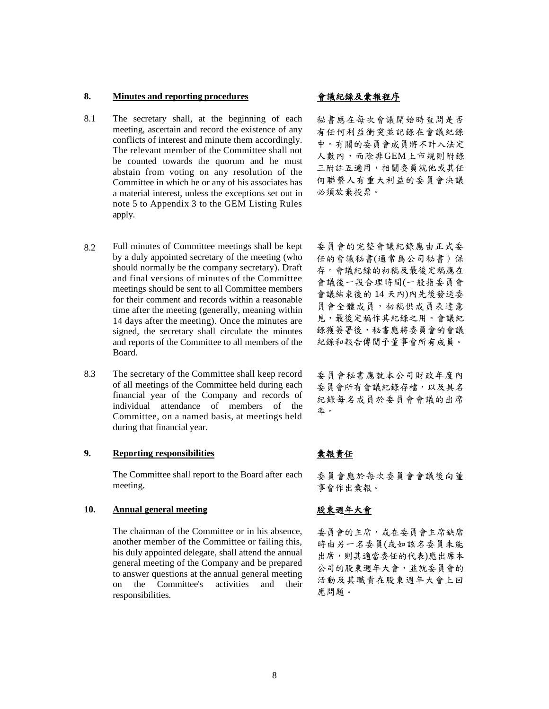## **8. Minutes and reporting procedures** 會議紀錄及彙報程序

- 8.1 The secretary shall, at the beginning of each  $\frac{1}{2}$ meeting, ascertain and record the existence of any conflicts of interest and minute them accordingly. The relevant member of the Committee shall not be counted towards the quorum and he must abstain from voting on any resolution of the Committee in which he or any of his associates has a material interest, unless the exceptions set out in note 5 to Appendix 3 to the GEM Listing Rules apply.
- 

秘書應在每次會議開始時查問是否 有任何利益衝突並記錄在會議紀錄 中。有關的委員會成員將不計入法定 人數內,而除非GEM上市規則附錄 三附註五適用,相關委員就他或其任 何聯繫人有重大利益的委員會決議 必須放棄投票。

- 8.2 Full minutes of Committee meetings shall be kept by a duly appointed secretary of the meeting (who should normally be the company secretary). Draft and final versions of minutes of the Committee meetings should be sent to all Committee members for their comment and records within a reasonable time after the meeting (generally, meaning within 14 days after the meeting). Once the minutes are signed, the secretary shall circulate the minutes and reports of the Committee to all members of the Board.
- 8.3 The secretary of the Committee shall keep record of all meetings of the Committee held during each financial year of the Company and records of individual attendance of members of the Committee, on a named basis, at meetings held during that financial year.

## **9. Reporting responsibilities** 彙報責任

The Committee shall report to the Board after each meeting.

### **10. Annual general meeting** 股東週年大會

The chairman of the Committee or in his absence, another member of the Committee or failing this, his duly appointed delegate, shall attend the annual general meeting of the Company and be prepared to answer questions at the annual general meeting on the Committee's activities and their responsibilities.

委員會的完整會議紀錄應由正式委 任的會議秘書(通常爲公司秘書)保 存。會議紀錄的初稿及最後定稿應在 會議後一段合理時間(一般指委員會 會議結束後的 14 天內)內先後發送委 員會全體成員,初稿供成員表達意 見,最後定稿作其紀錄之用。會議紀 錄獲簽署後,秘書應將委員會的會議 紀錄和報告傳閱予董事會所有成員。

委員會秘書應就本公司財政年度內 委員會所有會議紀錄存檔,以及具名 紀錄每名成員於委員會會議的出席 率。

委員會應於每次委員會會議後向董 事會作出彙報。

委員會的主席,或在委員會主席缺席 時由另一名委員(或如該名委員未能 出席,則其適當委任的代表)應出席本 公司的股東週年大會,並就委員會的 活動及其職責在股東週年大會上回 應問題。